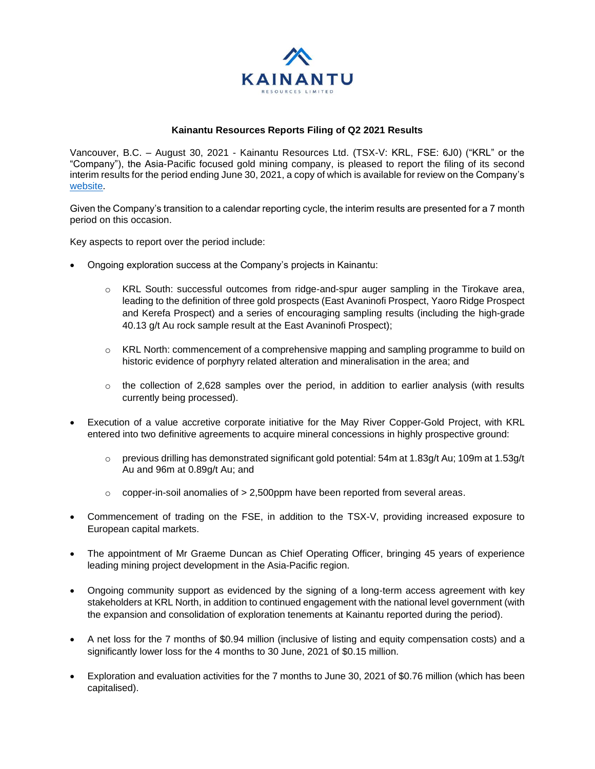

# **Kainantu Resources Reports Filing of Q2 2021 Results**

Vancouver, B.C. – August 30, 2021 - Kainantu Resources Ltd. (TSX-V: KRL, FSE: 6J0) ("KRL" or the "Company"), the Asia-Pacific focused gold mining company, is pleased to report the filing of its second interim results for the period ending June 30, 2021, a copy of which is available for review on the Company's [website.](https://kainanturesources.com/)

Given the Company's transition to a calendar reporting cycle, the interim results are presented for a 7 month period on this occasion.

Key aspects to report over the period include:

- Ongoing exploration success at the Company's projects in Kainantu:
	- o KRL South: successful outcomes from ridge-and-spur auger sampling in the Tirokave area, leading to the definition of three gold prospects (East Avaninofi Prospect, Yaoro Ridge Prospect and Kerefa Prospect) and a series of encouraging sampling results (including the high-grade 40.13 g/t Au rock sample result at the East Avaninofi Prospect);
	- $\circ$  KRL North: commencement of a comprehensive mapping and sampling programme to build on historic evidence of porphyry related alteration and mineralisation in the area; and
	- $\circ$  the collection of 2,628 samples over the period, in addition to earlier analysis (with results currently being processed).
- Execution of a value accretive corporate initiative for the May River Copper-Gold Project, with KRL entered into two definitive agreements to acquire mineral concessions in highly prospective ground:
	- $\circ$  previous drilling has demonstrated significant gold potential: 54m at 1.83g/t Au; 109m at 1.53g/t Au and 96m at 0.89g/t Au; and
	- $\circ$  copper-in-soil anomalies of  $> 2,500$ ppm have been reported from several areas.
- Commencement of trading on the FSE, in addition to the TSX-V, providing increased exposure to European capital markets.
- The appointment of Mr Graeme Duncan as Chief Operating Officer, bringing 45 years of experience leading mining project development in the Asia-Pacific region.
- Ongoing community support as evidenced by the signing of a long-term access agreement with key stakeholders at KRL North, in addition to continued engagement with the national level government (with the expansion and consolidation of exploration tenements at Kainantu reported during the period).
- A net loss for the 7 months of \$0.94 million (inclusive of listing and equity compensation costs) and a significantly lower loss for the 4 months to 30 June, 2021 of \$0.15 million.
- Exploration and evaluation activities for the 7 months to June 30, 2021 of \$0.76 million (which has been capitalised).